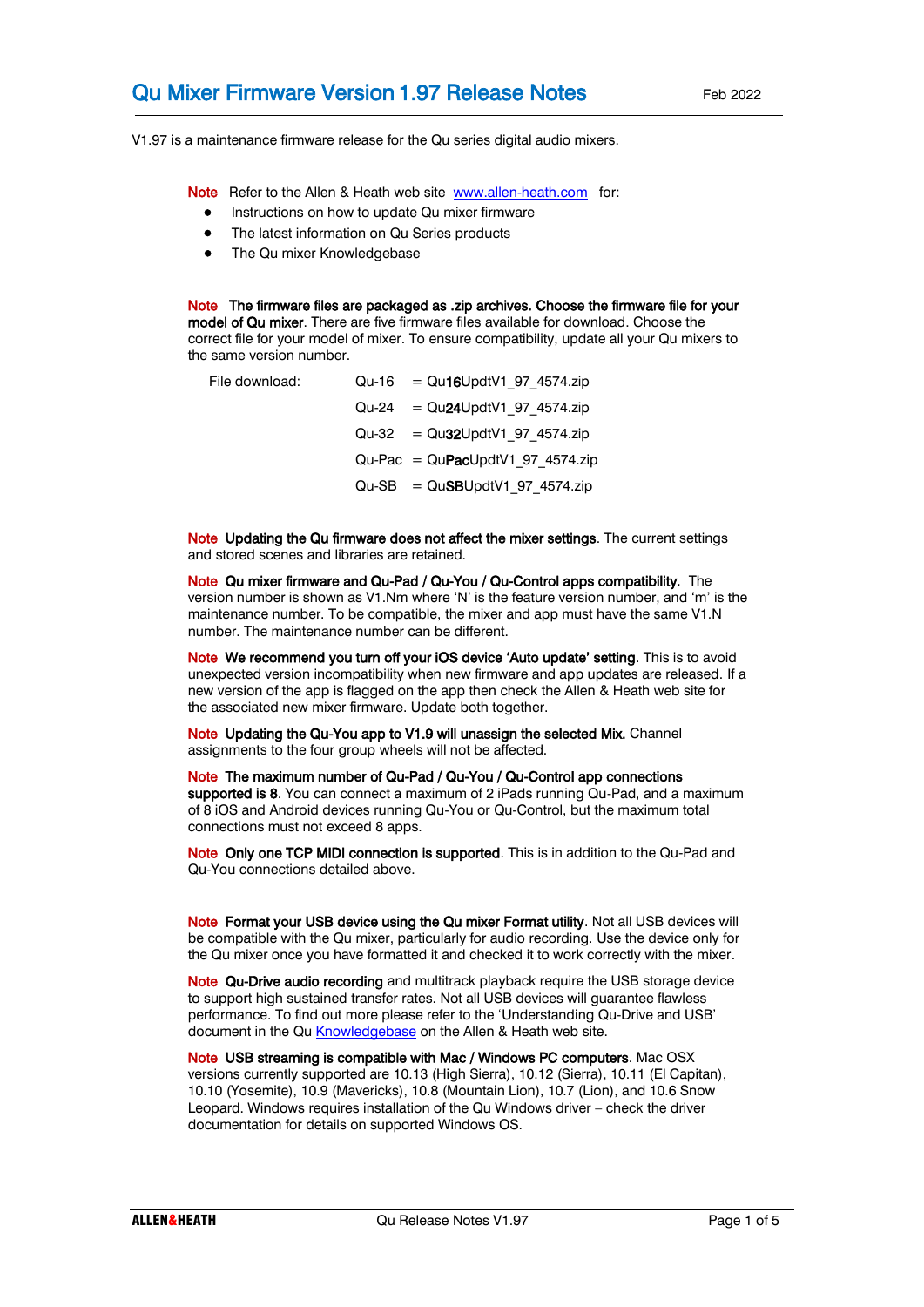V1.97 is a maintenance firmware release for the Qu series digital audio mixers.

Note Refer to the Allen & Heath web site [www.allen-heath.com](http://www.allen-heath.com/) for:

- Instructions on how to update Qu mixer firmware
- The latest information on Qu Series products
- The Qu mixer Knowledgebase

Note The firmware files are packaged as .zip archives. Choose the firmware file for your model of Qu mixer. There are five firmware files available for download. Choose the correct file for your model of mixer. To ensure compatibility, update all your Qu mixers to the same version number.

| File download: | $Qu-16 = Qu16UpdtV1 97 4574zip$   |
|----------------|-----------------------------------|
|                | $Qu-24 = Qu24UpdtV1 97 4574zip$   |
|                | $Qu-32 = Qu32UpdtV1 97 4574zip$   |
|                | $Qu-Pac = QuPacUpdtV1 97 4574zip$ |
|                | $Qu-SB = QuSBUpdtV1 97 4574zip$   |

Note Updating the Qu firmware does not affect the mixer settings. The current settings and stored scenes and libraries are retained.

Note Qu mixer firmware and Qu-Pad / Qu-You / Qu-Control apps compatibility. The version number is shown as V1.Nm where 'N' is the feature version number, and 'm' is the maintenance number. To be compatible, the mixer and app must have the same V1.N number. The maintenance number can be different.

Note We recommend you turn off your iOS device 'Auto update' setting. This is to avoid unexpected version incompatibility when new firmware and app updates are released. If a new version of the app is flagged on the app then check the Allen & Heath web site for the associated new mixer firmware. Update both together.

Note Updating the Qu-You app to V1.9 will unassign the selected Mix. Channel assignments to the four group wheels will not be affected.

Note The maximum number of Qu-Pad / Qu-You / Qu-Control app connections supported is 8. You can connect a maximum of 2 iPads running Qu-Pad, and a maximum of 8 iOS and Android devices running Qu-You or Qu-Control, but the maximum total connections must not exceed 8 apps.

Note Only one TCP MIDI connection is supported. This is in addition to the Qu-Pad and Qu-You connections detailed above.

Note Format your USB device using the Qu mixer Format utility. Not all USB devices will be compatible with the Qu mixer, particularly for audio recording. Use the device only for the Qu mixer once you have formatted it and checked it to work correctly with the mixer.

Note Qu-Drive audio recording and multitrack playback require the USB storage device to support high sustained transfer rates. Not all USB devices will guarantee flawless performance. To find out more please refer to the 'Understanding Qu-Drive and USB' document in the Q[u Knowledgebase](http://allen-heath.helpserve.com/default/Knowledgebase/List) on the Allen & Heath web site.

Note USB streaming is compatible with Mac / Windows PC computers. Mac OSX versions currently supported are 10.13 (High Sierra), 10.12 (Sierra), 10.11 (El Capitan), 10.10 (Yosemite), 10.9 (Mavericks), 10.8 (Mountain Lion), 10.7 (Lion), and 10.6 Snow Leopard. Windows requires installation of the Qu Windows driver – check the driver documentation for details on supported Windows OS.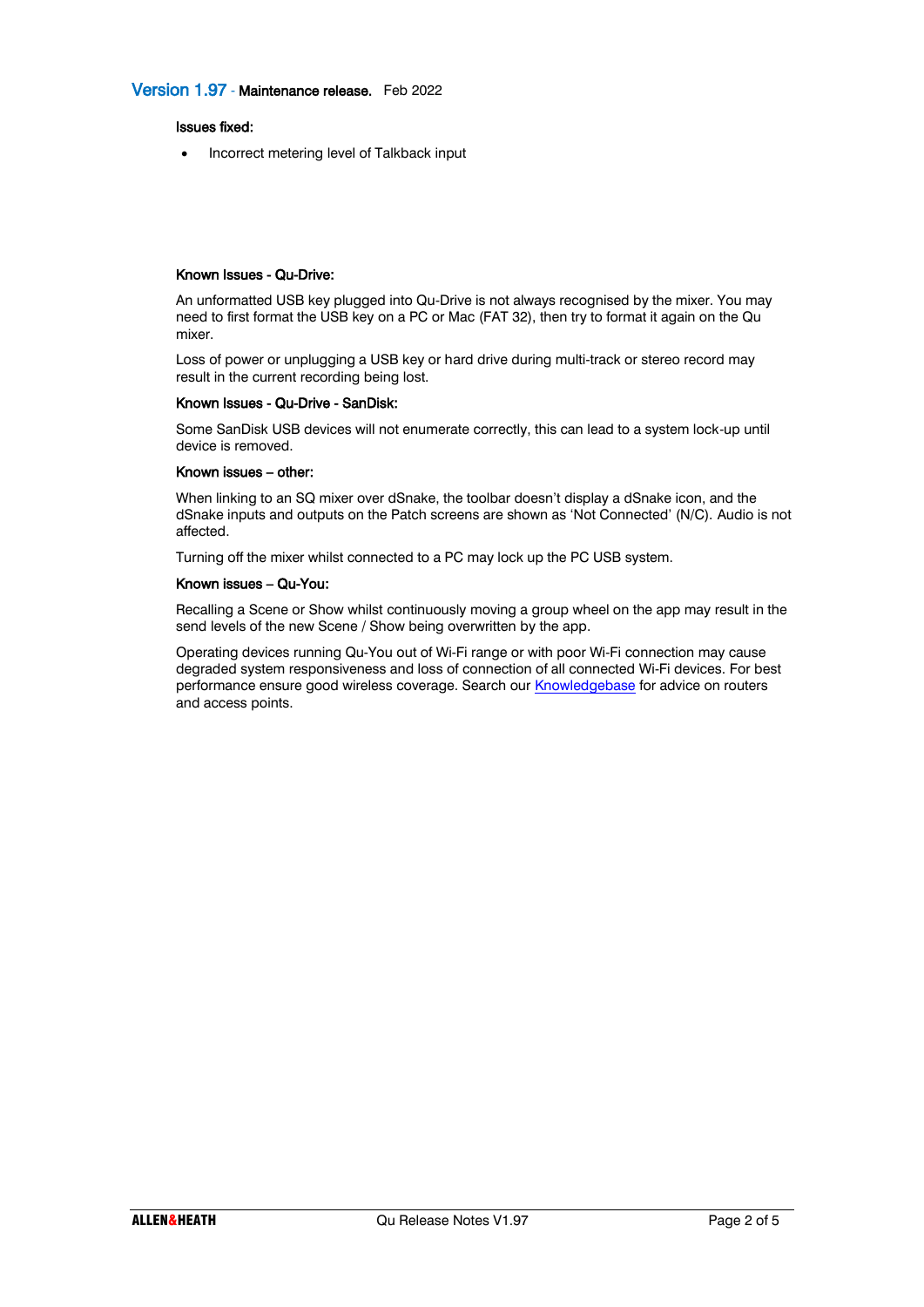### Issues fixed:

• Incorrect metering level of Talkback input

#### Known Issues - Qu-Drive:

An unformatted USB key plugged into Qu-Drive is not always recognised by the mixer. You may need to first format the USB key on a PC or Mac (FAT 32), then try to format it again on the Qu mixer.

Loss of power or unplugging a USB key or hard drive during multi-track or stereo record may result in the current recording being lost.

### Known Issues - Qu-Drive - SanDisk:

Some SanDisk USB devices will not enumerate correctly, this can lead to a system lock-up until device is removed.

#### Known issues – other:

When linking to an SQ mixer over dSnake, the toolbar doesn't display a dSnake icon, and the dSnake inputs and outputs on the Patch screens are shown as 'Not Connected' (N/C). Audio is not affected.

Turning off the mixer whilst connected to a PC may lock up the PC USB system.

#### Known issues – Qu-You:

Recalling a Scene or Show whilst continuously moving a group wheel on the app may result in the send levels of the new Scene / Show being overwritten by the app.

Operating devices running Qu-You out of Wi-Fi range or with poor Wi-Fi connection may cause degraded system responsiveness and loss of connection of all connected Wi-Fi devices. For best performance ensure good wireless coverage. Search our **Knowledgebase** for advice on routers and access points.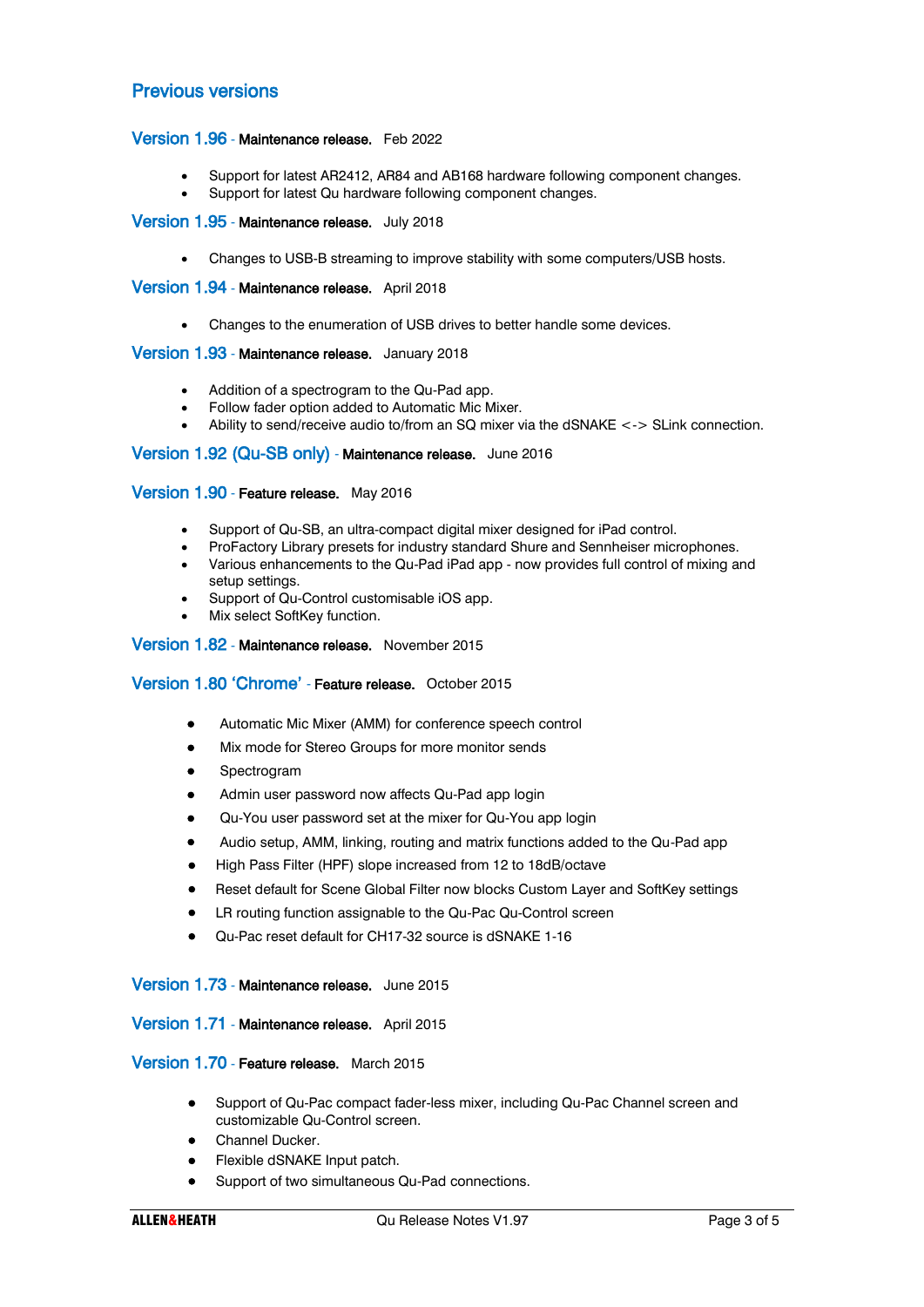# Previous versions

## Version 1.96 - Maintenance release. Feb 2022

- Support for latest AR2412, AR84 and AB168 hardware following component changes.
- Support for latest Qu hardware following component changes.

#### Version 1.95 - Maintenance release. July 2018

• Changes to USB-B streaming to improve stability with some computers/USB hosts.

Version 1.94 - Maintenance release. April 2018

• Changes to the enumeration of USB drives to better handle some devices.

### Version 1.93 - Maintenance release. January 2018

- Addition of a spectrogram to the Qu-Pad app.
- Follow fader option added to Automatic Mic Mixer.
- Ability to send/receive audio to/from an SQ mixer via the dSNAKE <-> SLink connection.

#### Version 1.92 (Qu-SB only) - Maintenance release. June 2016

#### Version 1.90 - Feature release. May 2016

- Support of Qu-SB, an ultra-compact digital mixer designed for iPad control.
- ProFactory Library presets for industry standard Shure and Sennheiser microphones.
- Various enhancements to the Qu-Pad iPad app now provides full control of mixing and setup settings.
- Support of Qu-Control customisable iOS app.
- Mix select SoftKey function.

#### Version 1.82 - Maintenance release. November 2015

### Version 1.80 'Chrome' - Feature release. October 2015

- Automatic Mic Mixer (AMM) for conference speech control
- Mix mode for Stereo Groups for more monitor sends
- **Spectrogram**
- Admin user password now affects Qu-Pad app login
- Qu-You user password set at the mixer for Qu-You app login
- Audio setup, AMM, linking, routing and matrix functions added to the Qu-Pad app
- High Pass Filter (HPF) slope increased from 12 to 18dB/octave
- Reset default for Scene Global Filter now blocks Custom Layer and SoftKey settings
- LR routing function assignable to the Qu-Pac Qu-Control screen
- Qu-Pac reset default for CH17-32 source is dSNAKE 1-16

#### Version 1.73 - Maintenance release. June 2015

### Version 1.71 - Maintenance release. April 2015

### Version 1.70 - Feature release. March 2015

- Support of Qu-Pac compact fader-less mixer, including Qu-Pac Channel screen and customizable Qu-Control screen.
- Channel Ducker.
- Flexible dSNAKE Input patch.
- Support of two simultaneous Qu-Pad connections.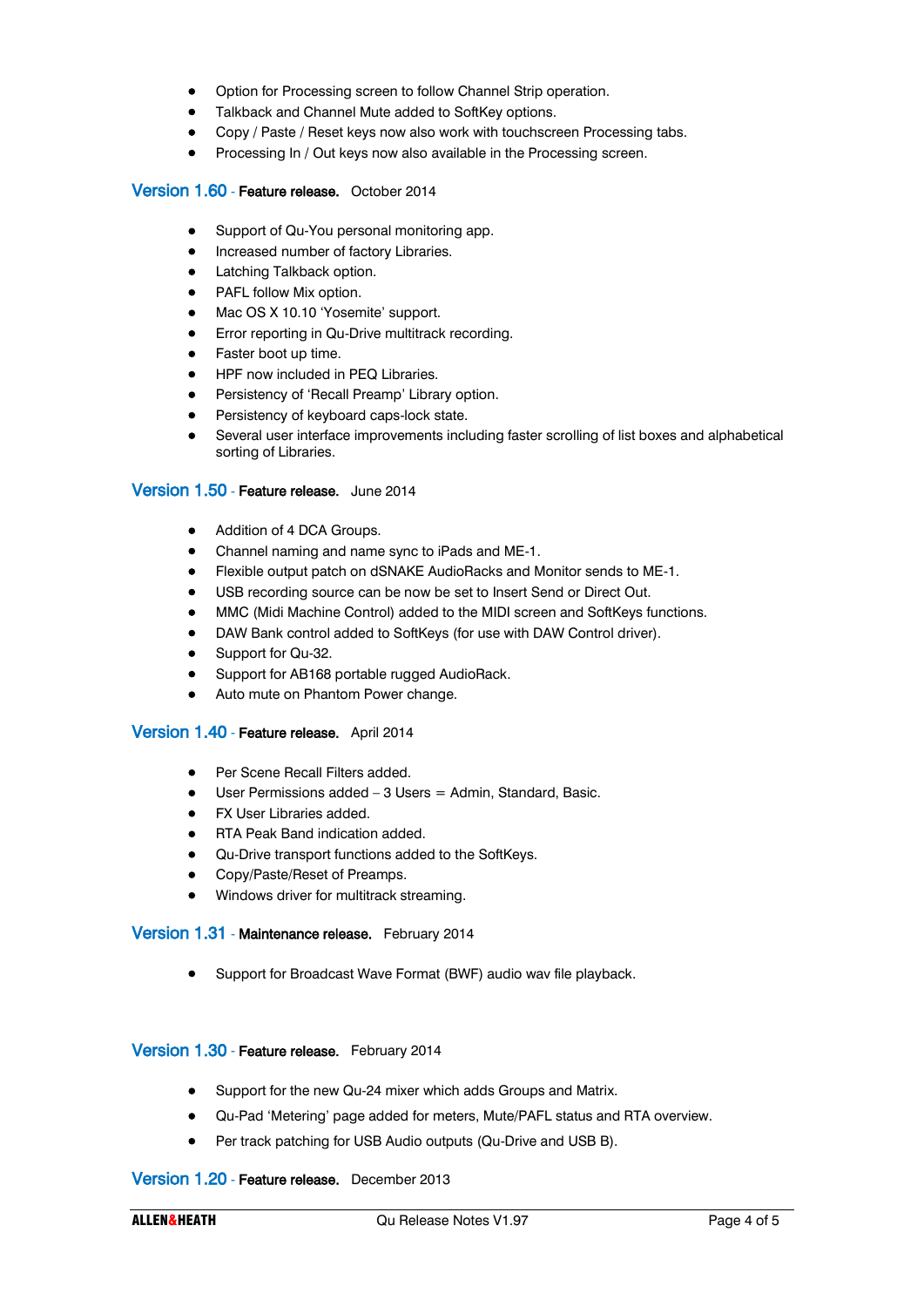- Option for Processing screen to follow Channel Strip operation.
- Talkback and Channel Mute added to SoftKey options.
- Copy / Paste / Reset keys now also work with touchscreen Processing tabs.
- Processing In / Out keys now also available in the Processing screen.

## Version 1.60 - Feature release. October 2014

- Support of Qu-You personal monitoring app.
- Increased number of factory Libraries.
- Latching Talkback option.
- PAFL follow Mix option.
- Mac OS X 10.10 'Yosemite' support.
- Error reporting in Qu-Drive multitrack recording.
- Faster boot up time.
- HPF now included in PEQ Libraries.
- Persistency of 'Recall Preamp' Library option.
- Persistency of keyboard caps-lock state.
- Several user interface improvements including faster scrolling of list boxes and alphabetical sorting of Libraries.

### Version 1.50 - Feature release. June 2014

- Addition of 4 DCA Groups.
- Channel naming and name sync to iPads and ME-1.
- Flexible output patch on dSNAKE AudioRacks and Monitor sends to ME-1.
- USB recording source can be now be set to Insert Send or Direct Out.
- MMC (Midi Machine Control) added to the MIDI screen and SoftKeys functions.
- DAW Bank control added to SoftKeys (for use with DAW Control driver).
- Support for Qu-32.
- Support for AB168 portable rugged AudioRack.
- Auto mute on Phantom Power change.

## Version 1.40 - Feature release. April 2014

- Per Scene Recall Filters added.
- $\bullet$  User Permissions added  $-3$  Users  $=$  Admin, Standard, Basic.
- FX User Libraries added.
- RTA Peak Band indication added.
- Qu-Drive transport functions added to the SoftKeys.
- Copy/Paste/Reset of Preamps.
- Windows driver for multitrack streaming.

## Version 1.31 - Maintenance release. February 2014

• Support for Broadcast Wave Format (BWF) audio wav file playback.

## Version 1.30 - Feature release. February 2014

- Support for the new Qu-24 mixer which adds Groups and Matrix.
- Qu-Pad 'Metering' page added for meters, Mute/PAFL status and RTA overview.
- Per track patching for USB Audio outputs (Qu-Drive and USB B).

## Version 1.20 - Feature release. December 2013